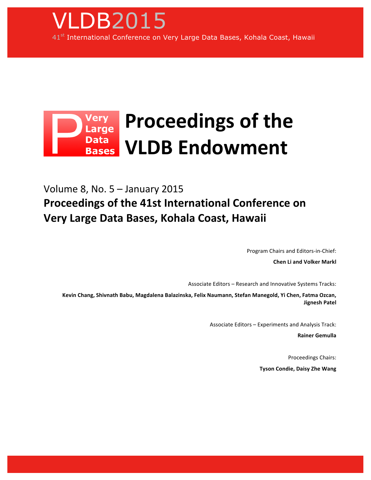

## Very Proceedings of the **Data VLDB!Endowment Bases**

Volume 8, No.  $5 -$  January 2015 **Proceedings of the 41st International Conference on Very Large Data Bases, Kohala Coast, Hawaii** 

Program Chairs and Editors-in-Chief:

**Chen Li and Volker Markl** 

Associate Editors – Research and Innovative Systems Tracks:

Kevin Chang, Shivnath Babu, Magdalena Balazinska, Felix Naumann, Stefan Manegold, Yi Chen, Fatma Ozcan, **Jignesh!Patel**

Associate Editors – Experiments and Analysis Track:

**Rainer!Gemulla**

Proceedings Chairs: **Tyson Condie, Daisy Zhe Wang**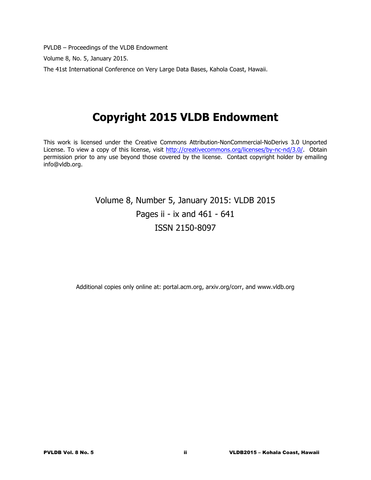PVLDB – Proceedings of the VLDB Endowment

Volume 8, No. 5, January 2015.

The 41st International Conference on Very Large Data Bases, Kahola Coast, Hawaii.

# **Copyright 2015 VLDB Endowment**

This work is licensed under the Creative Commons Attribution-NonCommercial-NoDerivs 3.0 Unported License. To view a copy of this license, visit http://creativecommons.org/licenses/by-nc-nd/3.0/. Obtain permission prior to any use beyond those covered by the license. Contact copyright holder by emailing info@vldb.org.

## Volume 8, Number 5, January 2015: VLDB 2015 Pages ii - ix and 461 - 641 ISSN 2150-8097

Additional copies only online at: portal.acm.org, arxiv.org/corr, and www.vldb.org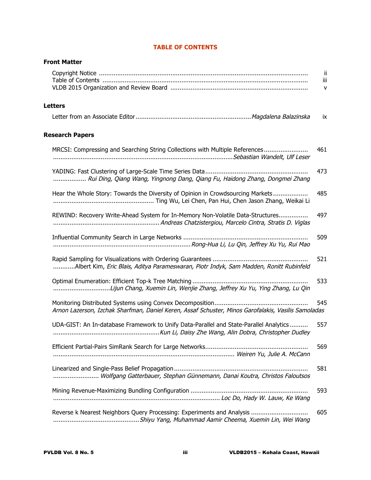| <b>Front Matter</b>                                                                                 |                 |
|-----------------------------------------------------------------------------------------------------|-----------------|
|                                                                                                     | ij.<br>iii<br>v |
| <b>Letters</b>                                                                                      |                 |
|                                                                                                     | ix              |
| <b>Research Papers</b>                                                                              |                 |
| MRCSI: Compressing and Searching String Collections with Multiple References                        | 461             |
| Rui Ding, Qiang Wang, Yingnong Dang, Qiang Fu, Haidong Zhang, Dongmei Zhang                         | 473             |
| Hear the Whole Story: Towards the Diversity of Opinion in Crowdsourcing Markets                     | 485             |
| REWIND: Recovery Write-Ahead System for In-Memory Non-Volatile Data-Structures                      | 497             |
|                                                                                                     | 509             |
| Albert Kim, Eric Blais, Aditya Parameswaran, Piotr Indyk, Sam Madden, Ronitt Rubinfeld              | 521             |
| Lijun Chang, Xuemin Lin, Wenjie Zhang, Jeffrey Xu Yu, Ying Zhang, Lu Qin                            | 533             |
| Arnon Lazerson, Izchak Sharfman, Daniel Keren, Assaf Schuster, Minos Garofalakis, Vasilis Samoladas | 545             |
| UDA-GIST: An In-database Framework to Unify Data-Parallel and State-Parallel Analytics              | 557             |
|                                                                                                     | 569             |
| Wolfgang Gatterbauer, Stephan Günnemann, Danai Koutra, Christos Faloutsos                           | 581             |
|                                                                                                     | 593             |
| Reverse k Nearest Neighbors Query Processing: Experiments and Analysis                              | 605             |

### **TABLE OF CONTENTS**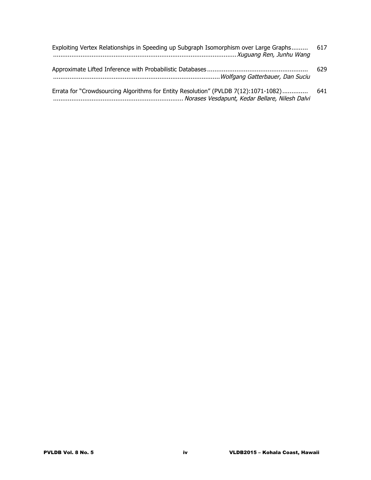| Exploiting Vertex Relationships in Speeding up Subgraph Isomorphism over Large Graphs 617                      |      |
|----------------------------------------------------------------------------------------------------------------|------|
| www.community.community.community.community.community.community.community.community.community.community.commun |      |
|                                                                                                                |      |
|                                                                                                                | -629 |
| wolfgang Gatterbauer, Dan Suciu                                                                                |      |

| Errata for "Crowdsourcing Algorithms for Entity Resolution" (PVLDB 7(12):1071-1082) | 641 |
|-------------------------------------------------------------------------------------|-----|
|                                                                                     |     |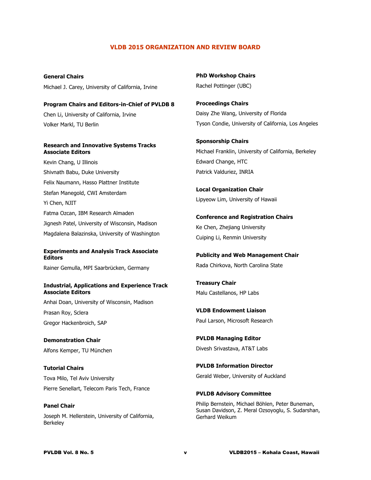#### **VLDB 2015 ORGANIZATION AND REVIEW BOARD**

**General Chairs** Michael J. Carey, University of California, Irvine

**Program Chairs and Editors-in-Chief of PVLDB 8** Chen Li, University of California, Irvine Volker Markl, TU Berlin

#### **Research and Innovative Systems Tracks Associate Editors**

Kevin Chang, U Illinois Shivnath Babu, Duke University Felix Naumann, Hasso Plattner Institute Stefan Manegold, CWI Amsterdam Yi Chen, NJIT Fatma Ozcan, IBM Research Almaden Jignesh Patel, University of Wisconsin, Madison Magdalena Balazinska, University of Washington

#### **Experiments and Analysis Track Associate Editors**

Rainer Gemulla, MPI Saarbrücken, Germany

#### **Industrial, Applications and Experience Track Associate Editors**

Anhai Doan, University of Wisconsin, Madison Prasan Roy, Sclera Gregor Hackenbroich, SAP

**Demonstration Chair** Alfons Kemper, TU München

**Tutorial Chairs** Tova Milo, Tel Aviv University Pierre Senellart, Telecom Paris Tech, France

**Panel Chair** Joseph M. Hellerstein, University of California, Berkeley

**PhD Workshop Chairs** Rachel Pottinger (UBC)

**Proceedings Chairs** Daisy Zhe Wang, University of Florida Tyson Condie, University of California, Los Angeles

**Sponsorship Chairs** Michael Franklin, University of California, Berkeley Edward Change, HTC Patrick Valduriez, INRIA

**Local Organization Chair** Lipyeow Lim, University of Hawaii

**Conference and Registration Chairs** Ke Chen, Zhejiang University Cuiping Li, Renmin University

**Publicity and Web Management Chair** Rada Chirkova, North Carolina State

**Treasury Chair** Malu Castellanos, HP Labs

**VLDB Endowment Liaison** Paul Larson, Microsoft Research

**PVLDB Managing Editor** Divesh Srivastava, AT&T Labs

**PVLDB Information Director** Gerald Weber, University of Auckland

**PVLDB Advisory Committee**

Philip Bernstein, Michael Böhlen, Peter Buneman, Susan Davidson, Z. Meral Ozsoyoglu, S. Sudarshan, Gerhard Weikum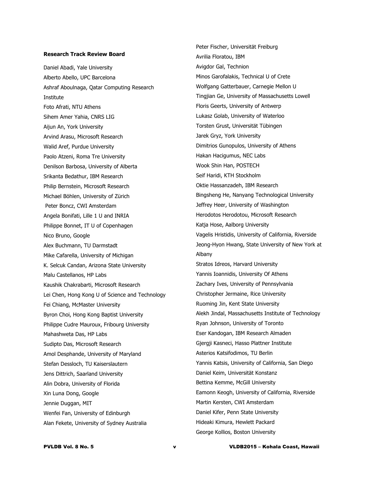#### **Research Track Review Board**

Daniel Abadi, Yale University Alberto Abello, UPC Barcelona Ashraf Aboulnaga, Qatar Computing Research Institute Foto Afrati, NTU Athens Sihem Amer Yahia, CNRS LIG Aijun An, York University Arvind Arasu, Microsoft Research Walid Aref, Purdue University Paolo Atzeni, Roma Tre University Denilson Barbosa, University of Alberta Srikanta Bedathur, IBM Research Philip Bernstein, Microsoft Research Michael Böhlen, University of Zürich Peter Boncz, CWI Amsterdam Angela Bonifati, Lille 1 U and INRIA Philippe Bonnet, IT U of Copenhagen Nico Bruno, Google Alex Buchmann, TU Darmstadt Mike Cafarella, University of Michigan K. Selcuk Candan, Arizona State University Malu Castellanos, HP Labs Kaushik Chakrabarti, Microsoft Research Lei Chen, Hong Kong U of Science and Technology Fei Chiang, McMaster University Byron Choi, Hong Kong Baptist University Philippe Cudre Mauroux, Fribourg University Mahashweta Das, HP Labs Sudipto Das, Microsoft Research Amol Desphande, University of Maryland Stefan Dessloch, TU Kaiserslautern Jens Dittrich, Saarland University Alin Dobra, University of Florida Xin Luna Dong, Google Jennie Duggan, MIT Wenfei Fan, University of Edinburgh Alan Fekete, University of Sydney Australia

Peter Fischer, Universität Freiburg Avrilia Floratou, IBM Avigdor Gal, Technion Minos Garofalakis, Technical U of Crete Wolfgang Gatterbauer, Carnegie Mellon U Tingjian Ge, University of Massachusetts Lowell Floris Geerts, University of Antwerp Lukasz Golab, University of Waterloo Torsten Grust, Universität Tübingen Jarek Gryz, York University Dimitrios Gunopulos, University of Athens Hakan Hacigumus, NEC Labs Wook Shin Han, POSTECH Seif Haridi, KTH Stockholm Oktie Hassanzadeh, IBM Research Bingsheng He, Nanyang Technological University Jeffrey Heer, University of Washington Herodotos Herodotou, Microsoft Research Katja Hose, Aalborg University Vagelis Hristidis, University of California, Riverside Jeong-Hyon Hwang, State University of New York at Albany Stratos Idreos, Harvard University Yannis Ioannidis, University Of Athens Zachary Ives, University of Pennsylvania Christopher Jermaine, Rice University Ruoming Jin, Kent State University Alekh Jindal, Massachusetts Institute of Technology Ryan Johnson, University of Toronto Eser Kandogan, IBM Research Almaden Gjergji Kasneci, Hasso Plattner Institute Asterios Katsifodimos, TU Berlin Yannis Katsis, University of California, San Diego Daniel Keim, Universität Konstanz Bettina Kemme, McGill University Eamonn Keogh, University of California, Riverside Martin Kersten, CWI Amsterdam Daniel Kifer, Penn State University Hideaki Kimura, Hewlett Packard George Kollios, Boston University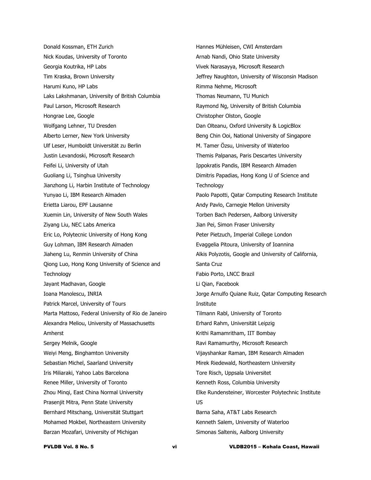Donald Kossman, ETH Zurich Nick Koudas, University of Toronto Georgia Koutrika, HP Labs Tim Kraska, Brown University Harumi Kuno, HP Labs Laks Lakshmanan, University of British Columbia Paul Larson, Microsoft Research Hongrae Lee, Google Wolfgang Lehner, TU Dresden Alberto Lerner, New York University Ulf Leser, Humboldt Universität zu Berlin Justin Levandoski, Microsoft Research Feifei Li, University of Utah Guoliang Li, Tsinghua University Jianzhong Li, Harbin Institute of Technology Yunyao Li, IBM Research Almaden Erietta Liarou, EPF Lausanne Xuemin Lin, University of New South Wales Ziyang Liu, NEC Labs America Eric Lo, Polytecnic University of Hong Kong Guy Lohman, IBM Research Almaden Jiaheng Lu, Renmin University of China Qiong Luo, Hong Kong University of Science and **Technology** Jayant Madhavan, Google Ioana Manolescu, INRIA Patrick Marcel, University of Tours Marta Mattoso, Federal University of Rio de Janeiro Alexandra Meliou, University of Massachusetts Amherst Sergey Melnik, Google Weiyi Meng, Binghamton University Sebastian Michel, Saarland University Iris Miliaraki, Yahoo Labs Barcelona Renee Miller, University of Toronto Zhou Minqi, East China Normal University Prasenjit Mitra, Penn State University Bernhard Mitschang, Universität Stuttgart Mohamed Mokbel, Northeastern University Barzan Mozafari, University of Michigan

Hannes Mühleisen, CWI Amsterdam Arnab Nandi, Ohio State University Vivek Narasayya, Microsoft Research Jeffrey Naughton, University of Wisconsin Madison Rimma Nehme, Microsoft Thomas Neumann, TU Munich Raymond Ng, University of British Columbia Christopher Olston, Google Dan Olteanu, Oxford University & LogicBlox Beng Chin Ooi, National University of Singapore M. Tamer Özsu, University of Waterloo Themis Palpanas, Paris Descartes University Ippokratis Pandis, IBM Research Almaden Dimitris Papadias, Hong Kong U of Science and **Technology** Paolo Papotti, Qatar Computing Research Institute Andy Pavlo, Carnegie Mellon University Torben Bach Pedersen, Aalborg University Jian Pei, Simon Fraser University Peter Pietzuch, Imperial College London Evaggelia Pitoura, University of Ioannina Alkis Polyzotis, Google and University of California, Santa Cruz Fabio Porto, LNCC Brazil Li Qian, Facebook Jorge Arnulfo Quiane Ruiz, Qatar Computing Research Institute Tilmann Rabl, University of Toronto Erhard Rahm, Universität Leipzig Krithi Ramamritham, IIT Bombay Ravi Ramamurthy, Microsoft Research Vijayshankar Raman, IBM Research Almaden Mirek Riedewald, Northeastern University Tore Risch, Uppsala Universitet Kenneth Ross, Columbia University Elke Rundensteiner, Worcester Polytechnic Institute US Barna Saha, AT&T Labs Research Kenneth Salem, University of Waterloo Simonas Saltenis, Aalborg University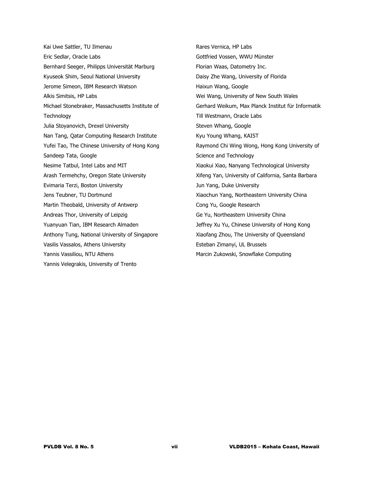Kai Uwe Sattler, TU Ilmenau Eric Sedlar, Oracle Labs Bernhard Seeger, Philipps Universität Marburg Kyuseok Shim, Seoul National University Jerome Simeon, IBM Research Watson Alkis Simitsis, HP Labs Michael Stonebraker, Massachusetts Institute of **Technology** Julia Stoyanovich, Drexel University Nan Tang, Qatar Computing Research Institute Yufei Tao, The Chinese University of Hong Kong Sandeep Tata, Google Nesime Tatbul, Intel Labs and MIT Arash Termehchy, Oregon State University Evimaria Terzi, Boston University Jens Teubner, TU Dortmund Martin Theobald, University of Antwerp Andreas Thor, University of Leipzig Yuanyuan Tian, IBM Research Almaden Anthony Tung, National University of Singapore Vasilis Vassalos, Athens University Yannis Vassiliou, NTU Athens Yannis Velegrakis, University of Trento

Rares Vernica, HP Labs Gottfried Vossen, WWU Münster Florian Waas, Datometry Inc. Daisy Zhe Wang, University of Florida Haixun Wang, Google Wei Wang, University of New South Wales Gerhard Weikum, Max Planck Institut für Informatik Till Westmann, Oracle Labs Steven Whang, Google Kyu Young Whang, KAIST Raymond Chi Wing Wong, Hong Kong University of Science and Technology Xiaokui Xiao, Nanyang Technological University Xifeng Yan, University of California, Santa Barbara Jun Yang, Duke University Xiaochun Yang, Northeastern University China Cong Yu, Google Research Ge Yu, Northeastern University China Jeffrey Xu Yu, Chinese University of Hong Kong Xiaofang Zhou, The University of Queensland Esteban Zimanyi, UL Brussels Marcin Zukowski, Snowflake Computing